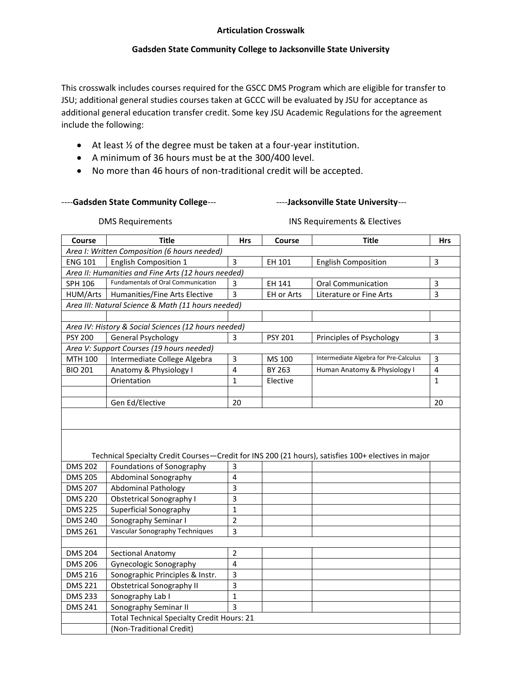### **Articulation Crosswalk**

### **Gadsden State Community College to Jacksonville State University**

This crosswalk includes courses required for the GSCC DMS Program which are eligible for transfer to JSU; additional general studies courses taken at GCCC will be evaluated by JSU for acceptance as additional general education transfer credit. Some key JSU Academic Regulations for the agreement include the following:

- At least ½ of the degree must be taken at a four-year institution.
- A minimum of 36 hours must be at the 300/400 level.
- No more than 46 hours of non-traditional credit will be accepted.

----Gadsden State Community College--- **---------------------Jacksonville State University---**

DMS Requirements **INS Requirements & Electives** 

| Course         | <b>Title</b>                                                                                        | <b>Hrs</b>              | Course         | <b>Title</b>                          | <b>Hrs</b>     |
|----------------|-----------------------------------------------------------------------------------------------------|-------------------------|----------------|---------------------------------------|----------------|
|                | Area I: Written Composition (6 hours needed)                                                        |                         |                |                                       |                |
| <b>ENG 101</b> | <b>English Composition 1</b>                                                                        | $\overline{3}$          | EH 101         | <b>English Composition</b>            | 3              |
|                | Area II: Humanities and Fine Arts (12 hours needed)                                                 |                         |                |                                       |                |
| SPH 106        | <b>Fundamentals of Oral Communication</b>                                                           | 3                       | EH 141         | <b>Oral Communication</b>             | $\overline{3}$ |
| HUM/Arts       | Humanities/Fine Arts Elective                                                                       | $\overline{3}$          | EH or Arts     | Literature or Fine Arts               | 3              |
|                | Area III: Natural Science & Math (11 hours needed)                                                  |                         |                |                                       |                |
|                |                                                                                                     |                         |                |                                       |                |
|                | Area IV: History & Social Sciences (12 hours needed)                                                |                         |                |                                       |                |
| <b>PSY 200</b> | <b>General Psychology</b>                                                                           | 3                       | <b>PSY 201</b> | Principles of Psychology              | $\overline{3}$ |
|                | Area V: Support Courses (19 hours needed)                                                           |                         |                |                                       |                |
| MTH 100        | Intermediate College Algebra                                                                        | $\overline{3}$          | MS 100         | Intermediate Algebra for Pre-Calculus | $\overline{3}$ |
| <b>BIO 201</b> | Anatomy & Physiology I                                                                              | 4                       | BY 263         | Human Anatomy & Physiology I          | 4              |
|                | Orientation                                                                                         | $\mathbf{1}$            | Elective       |                                       | 1              |
|                |                                                                                                     |                         |                |                                       |                |
|                | Gen Ed/Elective                                                                                     | 20                      |                |                                       | 20             |
|                |                                                                                                     |                         |                |                                       |                |
|                |                                                                                                     |                         |                |                                       |                |
|                |                                                                                                     |                         |                |                                       |                |
|                |                                                                                                     |                         |                |                                       |                |
|                | Technical Specialty Credit Courses-Credit for INS 200 (21 hours), satisfies 100+ electives in major |                         |                |                                       |                |
| <b>DMS 202</b> | Foundations of Sonography                                                                           | 3                       |                |                                       |                |
| <b>DMS 205</b> | Abdominal Sonography                                                                                | 4                       |                |                                       |                |
| <b>DMS 207</b> | <b>Abdominal Pathology</b>                                                                          | $\overline{3}$          |                |                                       |                |
| <b>DMS 220</b> | <b>Obstetrical Sonography I</b>                                                                     | $\mathsf{3}$            |                |                                       |                |
| <b>DMS 225</b> | Superficial Sonography                                                                              | $\mathbf{1}$            |                |                                       |                |
| <b>DMS 240</b> | Sonography Seminar I                                                                                | $\overline{2}$          |                |                                       |                |
| <b>DMS 261</b> | Vascular Sonography Techniques                                                                      | $\overline{\mathbf{3}}$ |                |                                       |                |
|                |                                                                                                     |                         |                |                                       |                |
| <b>DMS 204</b> | Sectional Anatomy                                                                                   | $\overline{2}$          |                |                                       |                |
| <b>DMS 206</b> | Gynecologic Sonography                                                                              | 4                       |                |                                       |                |
| <b>DMS 216</b> | Sonographic Principles & Instr.                                                                     | 3                       |                |                                       |                |
| <b>DMS 221</b> | <b>Obstetrical Sonography II</b>                                                                    | $\overline{3}$          |                |                                       |                |
| <b>DMS 233</b> | Sonography Lab I                                                                                    | $\mathbf 1$             |                |                                       |                |
| <b>DMS 241</b> | Sonography Seminar II                                                                               | $\overline{3}$          |                |                                       |                |
|                | <b>Total Technical Specialty Credit Hours: 21</b>                                                   |                         |                |                                       |                |
|                | (Non-Traditional Credit)                                                                            |                         |                |                                       |                |
|                |                                                                                                     |                         |                |                                       |                |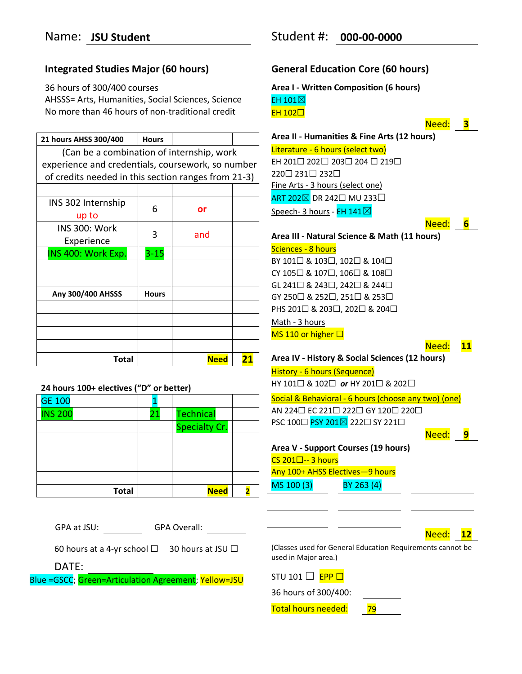# **Integrated Studies Major (60 hours)**

36 hours of 300/400 courses AHSSS= Arts, Humanities, Social Sciences, Science No more than 46 hours of non-traditional credit

| 21 hours AHSS 300/400                               | <b>Hours</b> |             |    |
|-----------------------------------------------------|--------------|-------------|----|
| (Can be a combination of internship, work           |              |             |    |
| experience and credentials, coursework, so number   |              |             |    |
| of credits needed in this section ranges from 21-3) |              |             |    |
|                                                     |              |             |    |
| INS 302 Internship                                  |              |             |    |
| up to                                               | 6            | or          |    |
| INS 300: Work                                       |              |             |    |
| Experience                                          | 3            | and         |    |
| INS 400: Work Exp.                                  | $3 - 15$     |             |    |
|                                                     |              |             |    |
|                                                     |              |             |    |
| Any 300/400 AHSSS                                   | <b>Hours</b> |             |    |
|                                                     |              |             |    |
|                                                     |              |             |    |
|                                                     |              |             |    |
|                                                     |              |             |    |
| Total                                               |              | <b>Need</b> | 21 |

| 24 hours 100+ electives ("D" or better) |  |
|-----------------------------------------|--|
|-----------------------------------------|--|

| <b>GE 100</b>  |    |                      |  |
|----------------|----|----------------------|--|
| <b>INS 200</b> | 21 | <b>Technical</b>     |  |
|                |    | <b>Specialty Cr.</b> |  |
|                |    |                      |  |
|                |    |                      |  |
|                |    |                      |  |
|                |    |                      |  |
| <b>Total</b>   |    | <b>Need</b>          |  |

| <b>GPA Overall:</b><br>GPA at JSU:                      |                         |
|---------------------------------------------------------|-------------------------|
| 60 hours at a 4-yr school $\Box$ 30 hours at JSU $\Box$ | (Classes u<br>used in M |
| DATE:                                                   |                         |
| Blue =GSCC; Green=Articulation Agreement; Yellow=JSU    | <b>STU 101</b>          |

# **General Education Core (60 hours)**

**Area I - Written Composition (6 hours)** EH 101⊠ EH 102□

Need: **3**

**Area II - Humanities & Fine Arts (12 hours)** Literature - 6 hours (select two) EH 201☐ 202☐ 203☐ 204 ☐ 219☐ 220☐ 231☐ 232☐ Fine Arts - 3 hours (select one)

ART 202⊠ DR 242□ MU 233□ Speech- 3 hours - EH 141 $\boxtimes$ 

Need: **6**

# **Area III** *-* **Natural Science & Math (11 hours)** Sciences - 8 hours BY 101☐ & 103☐, 102☐ & 104☐

CY 105☐ & 107☐, 106☐ & 108☐ GL 241☐ & 243☐, 242☐ & 244☐ GY 250☐ & 252☐, 251☐ & 253☐ PHS 201☐ & 203☐, 202☐ & 204☐ Math - 3 hours MS 110 or higher  $\square$ 

```
Need: 11
```
**Area IV** *-* **History & Social Sciences (12 hours)**

History - 6 hours (Sequence) HY 101☐ & 102☐ *or* HY 201☐ & 202☐

Social & Behavioral - 6 hours (choose any two) (one) AN 224□ EC 221□ 222□ GY 120□ 220□ PSC 100□ PSY 201⊠ 222□ SY 221□

Need: **9**

```
Area V - Support Courses (19 hours)
CS 201\square-- 3 hours
Any 100+ AHSS Electives—9 hours 
MS 100 (3) BY 263 (4)
```

| ۱ρρ<br>г |  |
|----------|--|
|----------|--|

(sed for General Education Requirements cannot be 1ajor area.)

 $\Box$  EPP  $\Box$ 

36 hours of 300/400:

Total hours needed: 79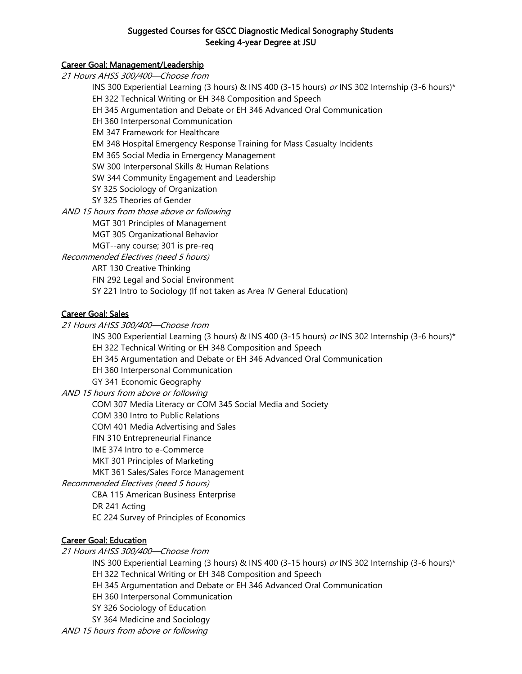## Suggested Courses for GSCC Diagnostic Medical Sonography Students Seeking 4-year Degree at JSU

## Career Goal: Management/Leadership

21 Hours AHSS 300/400—Choose from INS 300 Experiential Learning (3 hours) & INS 400 (3-15 hours) or INS 302 Internship (3-6 hours)\* EH 322 Technical Writing or EH 348 Composition and Speech EH 345 Argumentation and Debate or EH 346 Advanced Oral Communication EH 360 Interpersonal Communication EM 347 Framework for Healthcare EM 348 Hospital Emergency Response Training for Mass Casualty Incidents EM 365 Social Media in Emergency Management SW 300 Interpersonal Skills & Human Relations SW 344 Community Engagement and Leadership SY 325 Sociology of Organization SY 325 Theories of Gender AND 15 hours from those above or following MGT 301 Principles of Management MGT 305 Organizational Behavior MGT--any course; 301 is pre-req Recommended Electives (need 5 hours) ART 130 Creative Thinking FIN 292 Legal and Social Environment SY 221 Intro to Sociology (If not taken as Area IV General Education) Career Goal: Sales 21 Hours AHSS 300/400—Choose from

INS 300 Experiential Learning (3 hours) & INS 400 (3-15 hours) or INS 302 Internship (3-6 hours)\* EH 322 Technical Writing or EH 348 Composition and Speech EH 345 Argumentation and Debate or EH 346 Advanced Oral Communication EH 360 Interpersonal Communication GY 341 Economic Geography AND 15 hours from above or following COM 307 Media Literacy or COM 345 Social Media and Society COM 330 Intro to Public Relations COM 401 Media Advertising and Sales FIN 310 Entrepreneurial Finance IME 374 Intro to e-Commerce MKT 301 Principles of Marketing MKT 361 Sales/Sales Force Management Recommended Electives (need 5 hours) CBA 115 American Business Enterprise DR 241 Acting EC 224 Survey of Principles of Economics

## Career Goal: Education

21 Hours AHSS 300/400—Choose from

INS 300 Experiential Learning (3 hours) & INS 400 (3-15 hours) or INS 302 Internship (3-6 hours)\*

EH 322 Technical Writing or EH 348 Composition and Speech

EH 345 Argumentation and Debate or EH 346 Advanced Oral Communication

- EH 360 Interpersonal Communication
- SY 326 Sociology of Education

SY 364 Medicine and Sociology

AND 15 hours from above or following